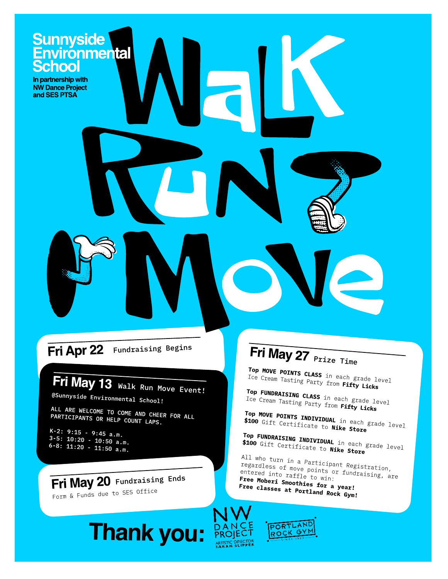# Sunnyside<br>Environmental<br>School

In partnership with NW Dance Project and SES PTSA

### Fri Apr 22 Fundraising Begins

## Fri May 13 Walk Run Move Event!

@Sunnyside Environmental School!

ALL ARE WELCOME TO COME AND CHEER FOR ALL PARTICIPANTS OR HELP COUNT LAPS.

K-2:  $9:15 - 9:45$  a.m.  $3-5: 10:20 - 10:50$  a.m.<br>6-8: 11:20 - 11:50 a.m.

#### Fri May 20 Fundraising Ends

Form & Funds due to SES Office

## Fri May 27 Prize Time

Top MOVE POINTS CLASS in each grade level Ice Cream Tasting Party from **Fifty Licks** 

Top FUNDRAISING CLASS in each grade level Ice Cream Tasting Party from **Fifty Licks** 

Top MOVE POINTS INDIVIDUAL in each grade level \$100 Gift Certificate to Nike Store

Top FUNDRAISING INDIVIDUAL in each grade level \$100 Gift Certificate to Nike Store

All who turn in a Participant Registration, regardless of move points or fundraising,<br>entered into raffle to win:<br>Free Mobor: caffle to win: entered into raffle to win: Free Moberi Smoothies for a year!<br>Free classes at Desir for a year! Free classes at Portland Rock Gym!





**ARTISTIC DIRECTOR**